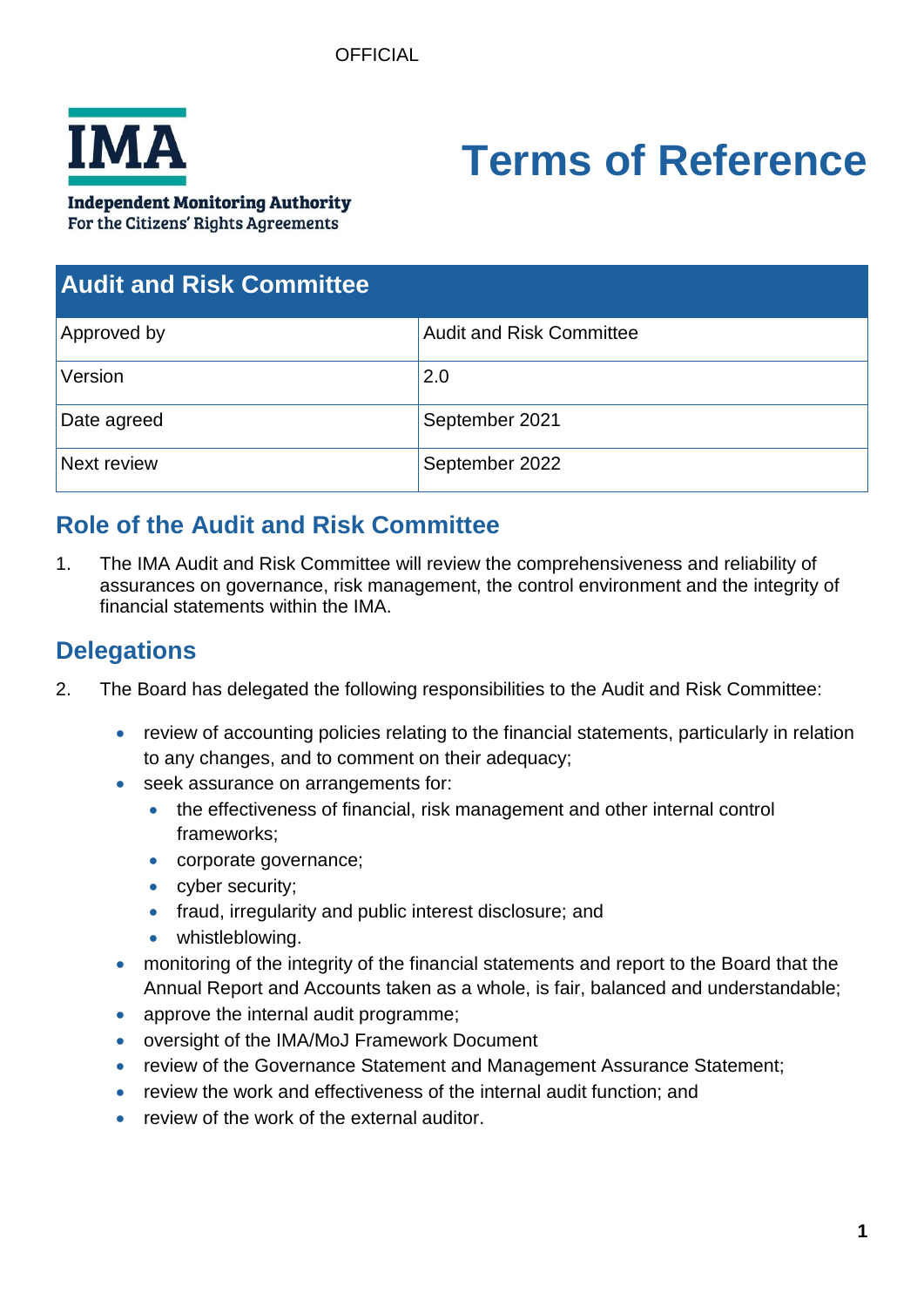

# **Terms of Reference**

**Independent Monitoring Authority** 

For the Citizens' Rights Agreements

| <b>Audit and Risk Committee</b> |                                 |
|---------------------------------|---------------------------------|
| Approved by                     | <b>Audit and Risk Committee</b> |
| Version                         | 2.0                             |
| Date agreed                     | September 2021                  |
| Next review                     | September 2022                  |

# **Role of the Audit and Risk Committee**

1. The IMA Audit and Risk Committee will review the comprehensiveness and reliability of assurances on governance, risk management, the control environment and the integrity of financial statements within the IMA.

# **Delegations**

- 2. The Board has delegated the following responsibilities to the Audit and Risk Committee:
	- review of accounting policies relating to the financial statements, particularly in relation to any changes, and to comment on their adequacy;
	- seek assurance on arrangements for:
		- the effectiveness of financial, risk management and other internal control frameworks;
		- corporate governance;
		- cyber security;
		- fraud, irregularity and public interest disclosure; and
		- whistleblowing.
	- monitoring of the integrity of the financial statements and report to the Board that the Annual Report and Accounts taken as a whole, is fair, balanced and understandable;
	- approve the internal audit programme;
	- oversight of the IMA/MoJ Framework Document
	- review of the Governance Statement and Management Assurance Statement;
	- review the work and effectiveness of the internal audit function; and
	- review of the work of the external auditor.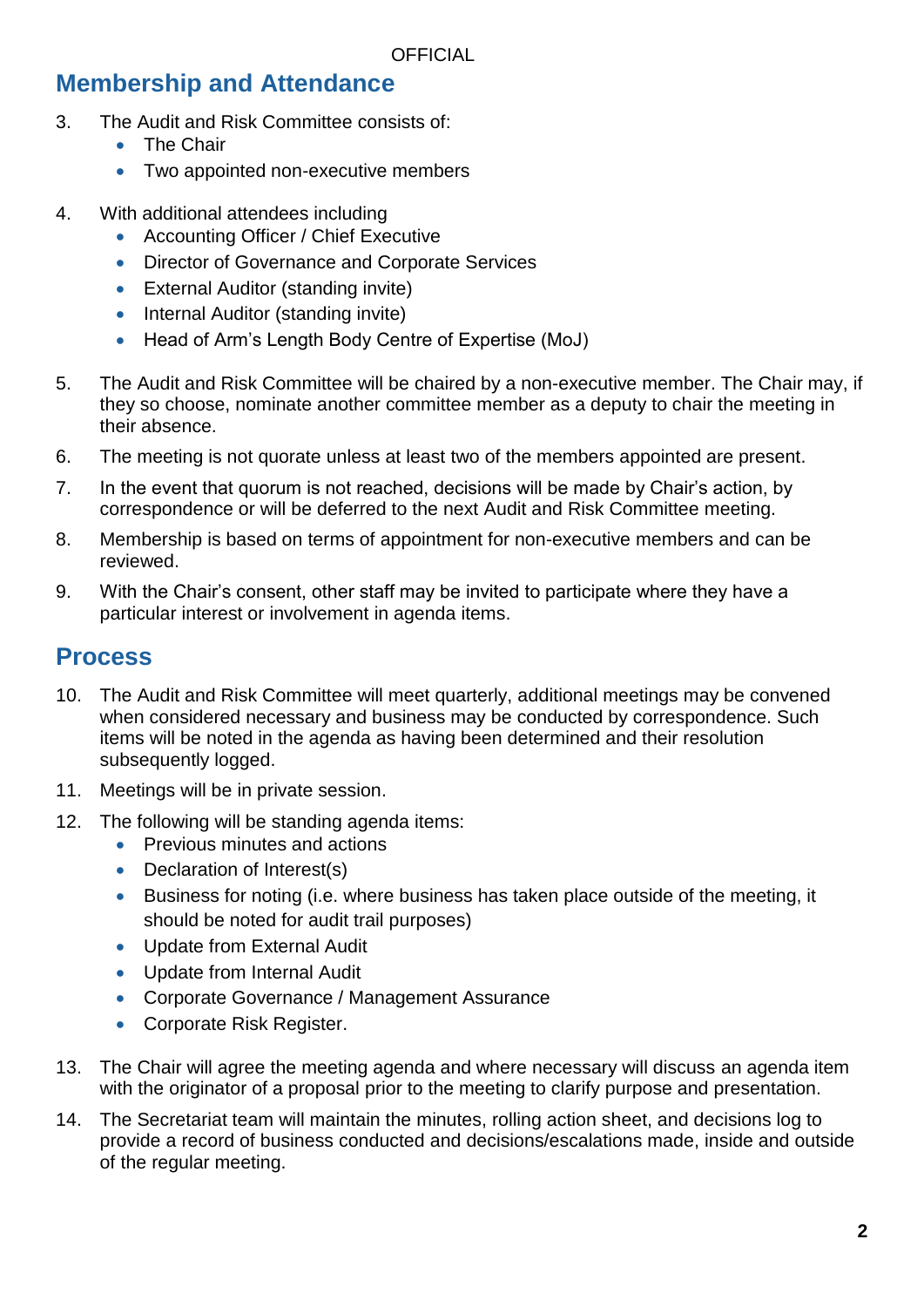# **Membership and Attendance**

- 3. The Audit and Risk Committee consists of:
	- The Chair
	- Two appointed non-executive members
- 4. With additional attendees including
	- Accounting Officer / Chief Executive
	- Director of Governance and Corporate Services
	- External Auditor (standing invite)
	- Internal Auditor (standing invite)
	- Head of Arm's Length Body Centre of Expertise (MoJ)
- 5. The Audit and Risk Committee will be chaired by a non-executive member. The Chair may, if they so choose, nominate another committee member as a deputy to chair the meeting in their absence.
- 6. The meeting is not quorate unless at least two of the members appointed are present.
- 7. In the event that quorum is not reached, decisions will be made by Chair's action, by correspondence or will be deferred to the next Audit and Risk Committee meeting.
- 8. Membership is based on terms of appointment for non-executive members and can be reviewed.
- 9. With the Chair's consent, other staff may be invited to participate where they have a particular interest or involvement in agenda items.

### **Process**

- 10. The Audit and Risk Committee will meet quarterly, additional meetings may be convened when considered necessary and business may be conducted by correspondence. Such items will be noted in the agenda as having been determined and their resolution subsequently logged.
- 11. Meetings will be in private session.
- 12. The following will be standing agenda items:
	- Previous minutes and actions
	- Declaration of Interest(s)
	- Business for noting (i.e. where business has taken place outside of the meeting, it should be noted for audit trail purposes)
	- Update from External Audit
	- Update from Internal Audit
	- Corporate Governance / Management Assurance
	- Corporate Risk Register.
- 13. The Chair will agree the meeting agenda and where necessary will discuss an agenda item with the originator of a proposal prior to the meeting to clarify purpose and presentation.
- 14. The Secretariat team will maintain the minutes, rolling action sheet, and decisions log to provide a record of business conducted and decisions/escalations made, inside and outside of the regular meeting.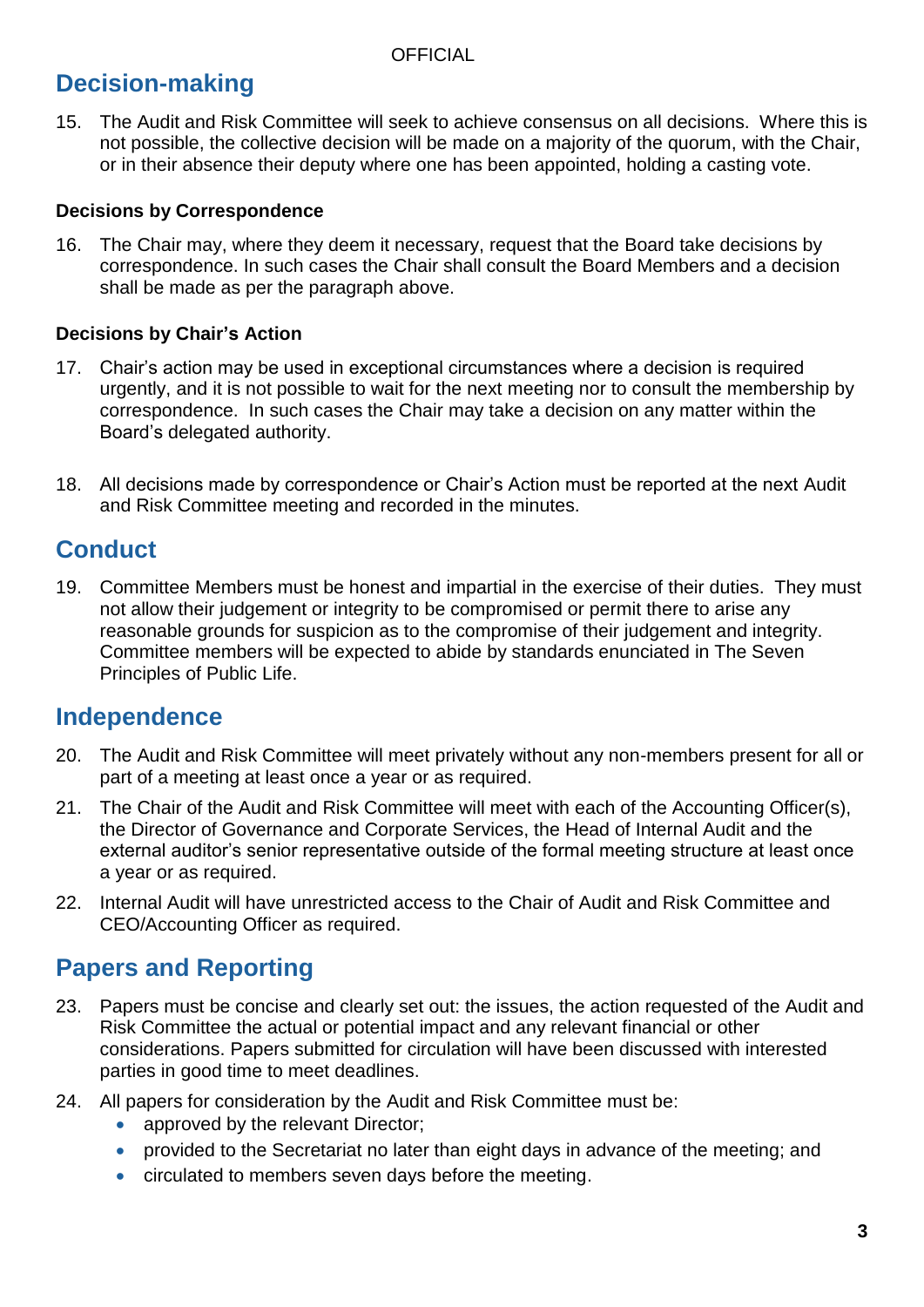**OFFICIAL** 

# **Decision-making**

15. The Audit and Risk Committee will seek to achieve consensus on all decisions. Where this is not possible, the collective decision will be made on a majority of the quorum, with the Chair, or in their absence their deputy where one has been appointed, holding a casting vote.

#### **Decisions by Correspondence**

16. The Chair may, where they deem it necessary, request that the Board take decisions by correspondence. In such cases the Chair shall consult the Board Members and a decision shall be made as per the paragraph above.

#### **Decisions by Chair's Action**

- 17. Chair's action may be used in exceptional circumstances where a decision is required urgently, and it is not possible to wait for the next meeting nor to consult the membership by correspondence. In such cases the Chair may take a decision on any matter within the Board's delegated authority.
- 18. All decisions made by correspondence or Chair's Action must be reported at the next Audit and Risk Committee meeting and recorded in the minutes.

## **Conduct**

19. Committee Members must be honest and impartial in the exercise of their duties. They must not allow their judgement or integrity to be compromised or permit there to arise any reasonable grounds for suspicion as to the compromise of their judgement and integrity. Committee members will be expected to abide by standards enunciated in The Seven Principles of Public Life.

## **Independence**

- 20. The Audit and Risk Committee will meet privately without any non-members present for all or part of a meeting at least once a year or as required.
- 21. The Chair of the Audit and Risk Committee will meet with each of the Accounting Officer(s), the Director of Governance and Corporate Services, the Head of Internal Audit and the external auditor's senior representative outside of the formal meeting structure at least once a year or as required.
- 22. Internal Audit will have unrestricted access to the Chair of Audit and Risk Committee and CEO/Accounting Officer as required.

## **Papers and Reporting**

- 23. Papers must be concise and clearly set out: the issues, the action requested of the Audit and Risk Committee the actual or potential impact and any relevant financial or other considerations. Papers submitted for circulation will have been discussed with interested parties in good time to meet deadlines.
- 24. All papers for consideration by the Audit and Risk Committee must be:
	- approved by the relevant Director;
	- provided to the Secretariat no later than eight days in advance of the meeting; and
	- circulated to members seven days before the meeting.